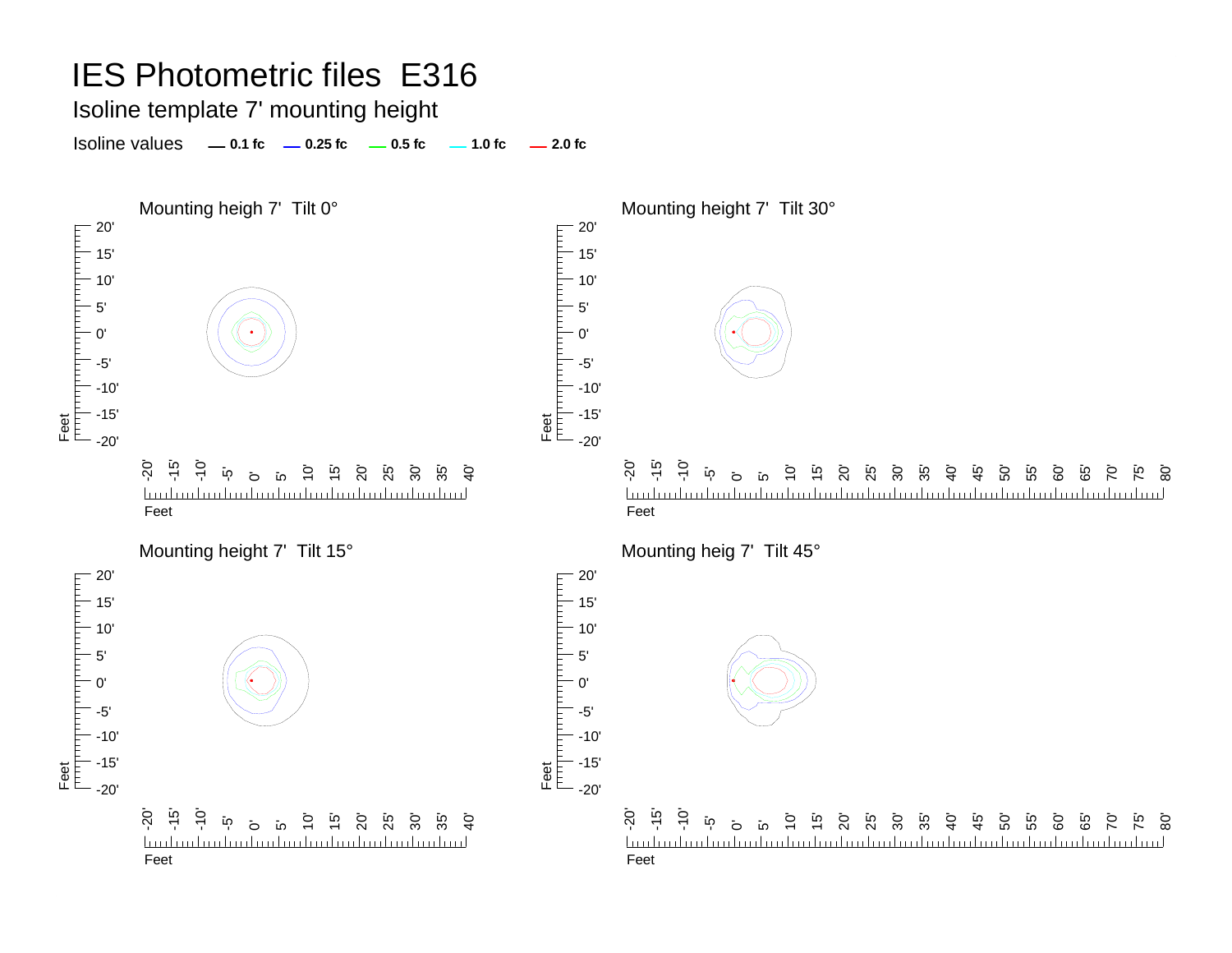Isoline template 7' mounting height

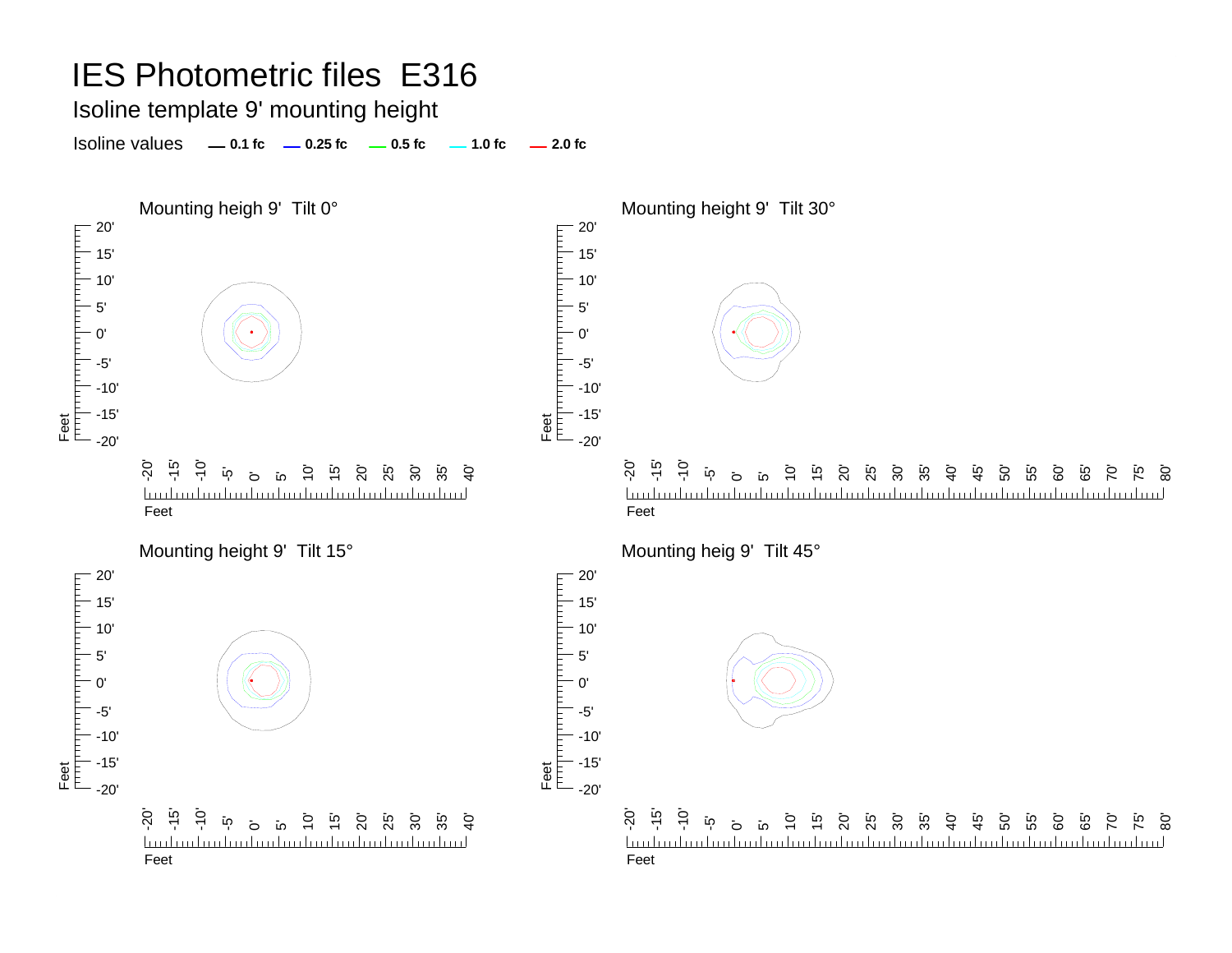#### Isoline template 9' mounting height

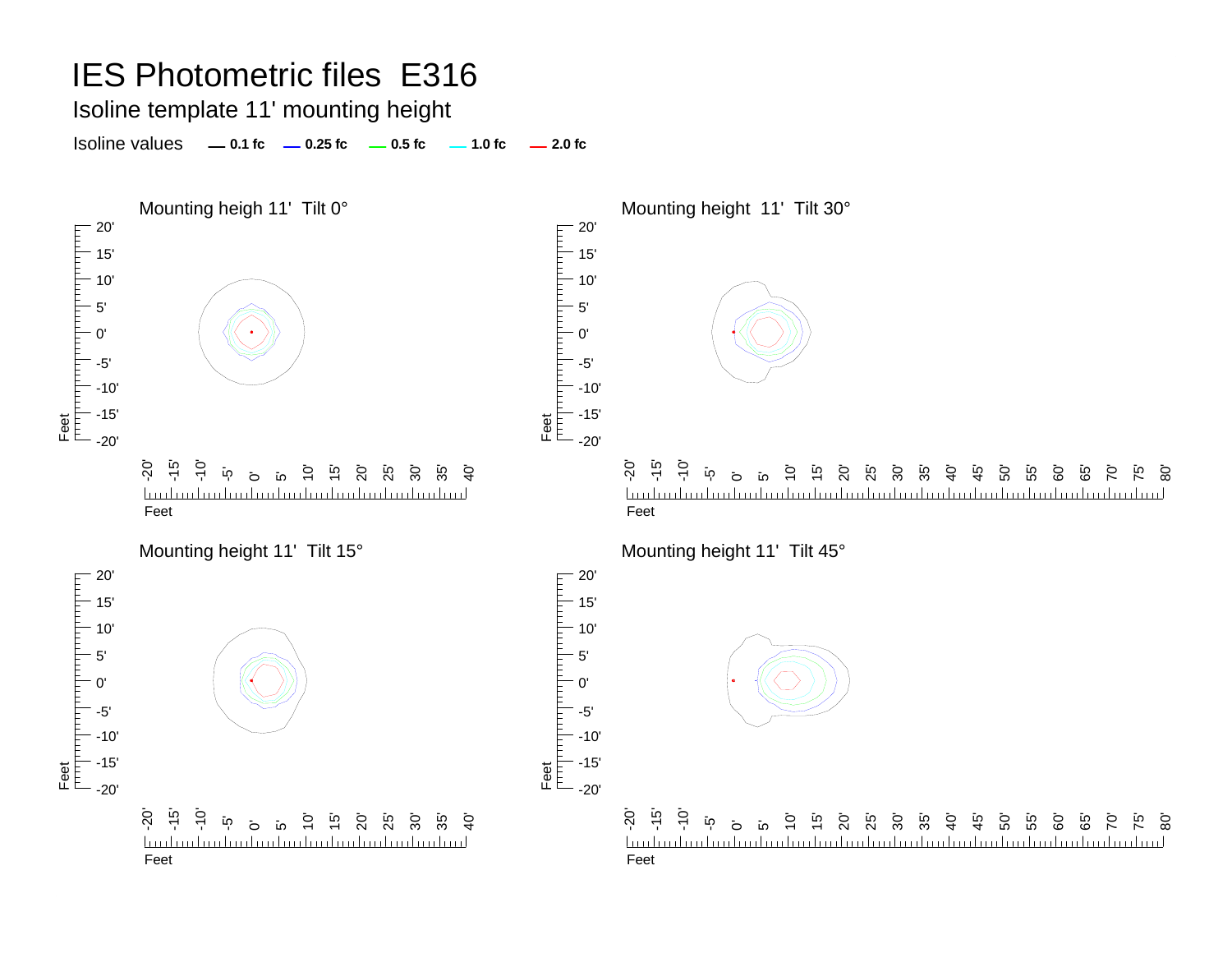Isoline template 11' mounting height

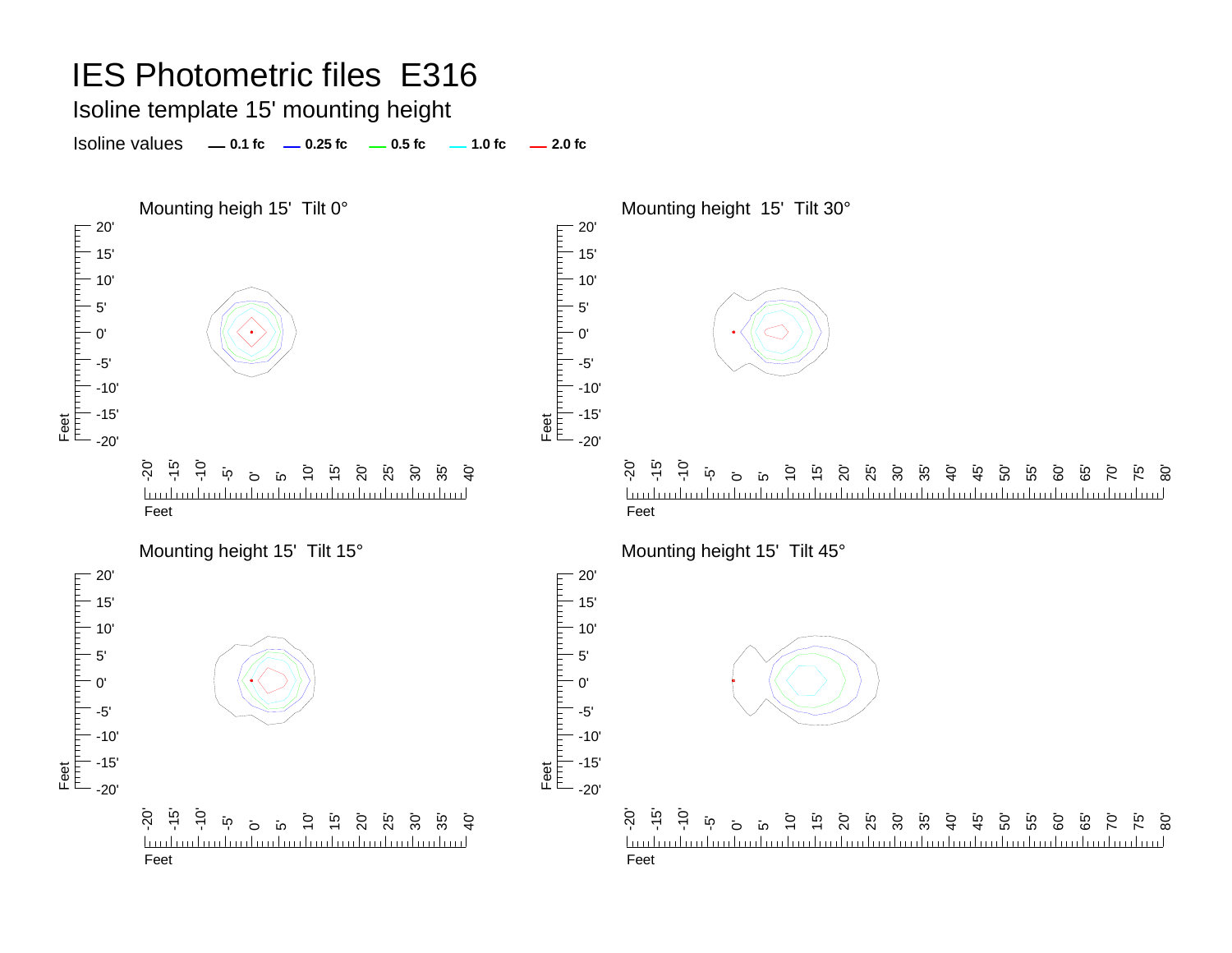#### Isoline template 15' mounting height

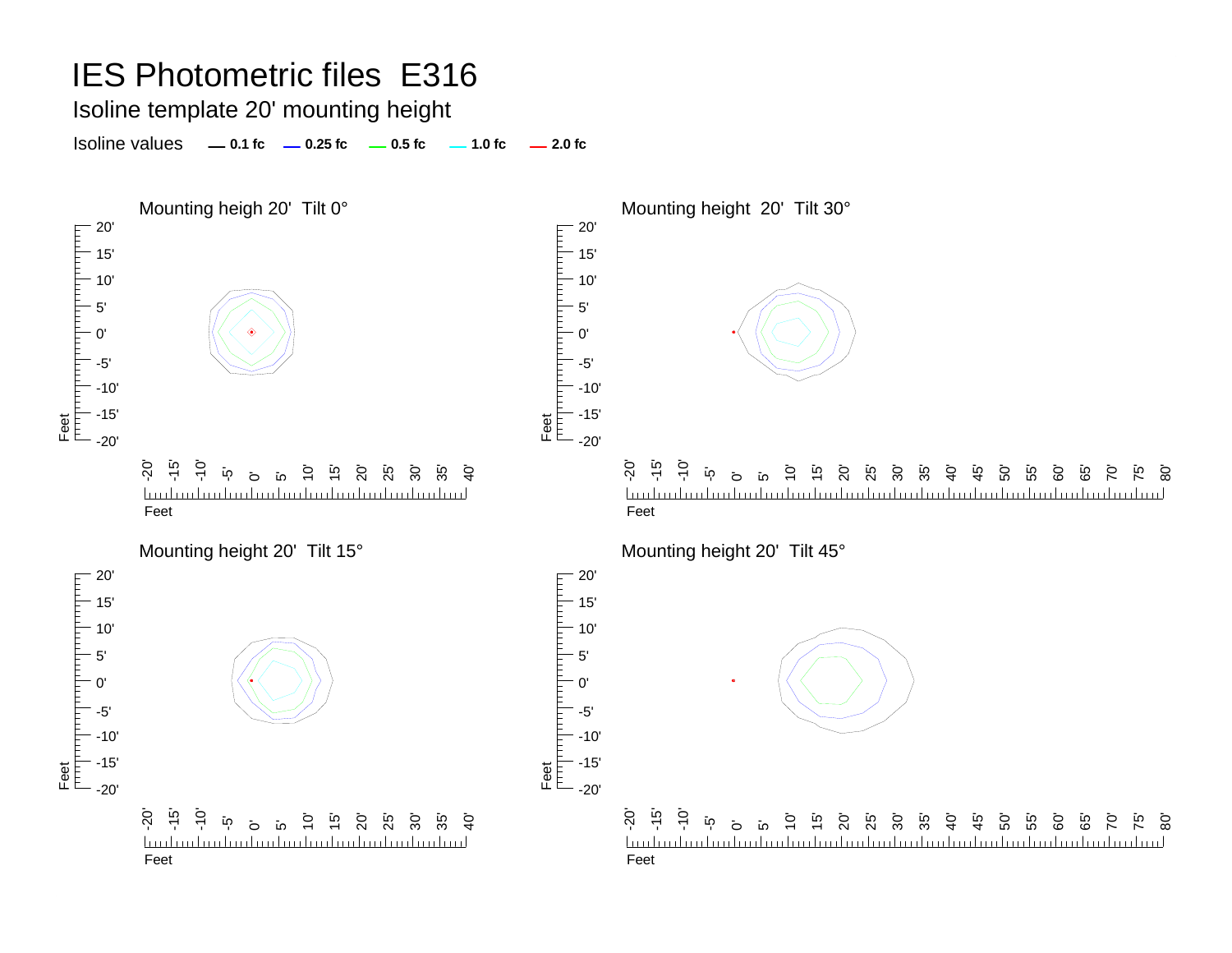#### Isoline template 20' mounting height

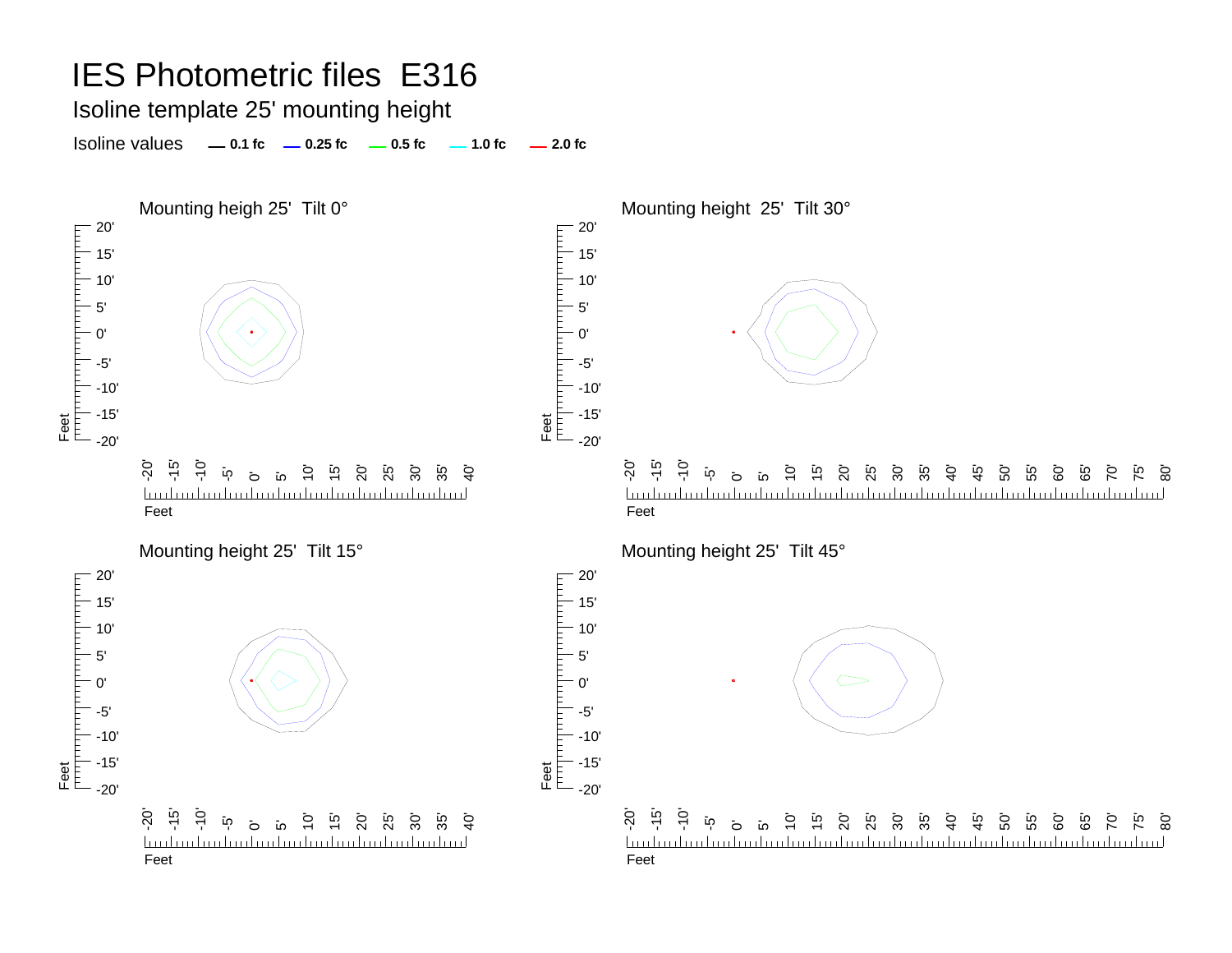#### Isoline template 25' mounting height